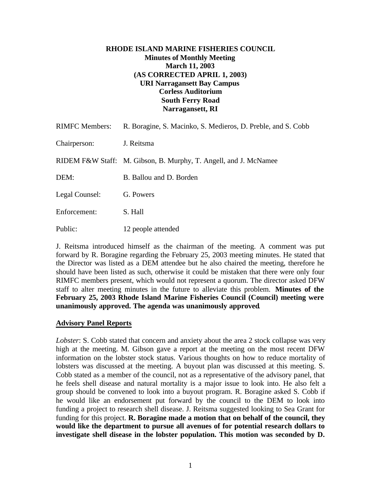# **RHODE ISLAND MARINE FISHERIES COUNCIL Minutes of Monthly Meeting March 11, 2003 (AS CORRECTED APRIL 1, 2003) URI Narragansett Bay Campus Corless Auditorium South Ferry Road Narragansett, RI**

| <b>RIMFC</b> Members: | R. Boragine, S. Macinko, S. Medieros, D. Preble, and S. Cobb     |
|-----------------------|------------------------------------------------------------------|
| Chairperson:          | J. Reitsma                                                       |
|                       | RIDEM F&W Staff: M. Gibson, B. Murphy, T. Angell, and J. McNamee |
| DEM:                  | B. Ballou and D. Borden                                          |
| Legal Counsel:        | G. Powers                                                        |
| Enforcement:          | S. Hall                                                          |
| Public:               | 12 people attended                                               |

J. Reitsma introduced himself as the chairman of the meeting. A comment was put forward by R. Boragine regarding the February 25, 2003 meeting minutes. He stated that the Director was listed as a DEM attendee but he also chaired the meeting, therefore he should have been listed as such, otherwise it could be mistaken that there were only four RIMFC members present, which would not represent a quorum. The director asked DFW staff to alter meeting minutes in the future to alleviate this problem. **Minutes of the February 25, 2003 Rhode Island Marine Fisheries Council (Council) meeting were unanimously approved. The agenda was unanimously approved**.

#### **Advisory Panel Reports**

*Lobster*: S. Cobb stated that concern and anxiety about the area 2 stock collapse was very high at the meeting. M. Gibson gave a report at the meeting on the most recent DFW information on the lobster stock status. Various thoughts on how to reduce mortality of lobsters was discussed at the meeting. A buyout plan was discussed at this meeting. S. Cobb stated as a member of the council, not as a representative of the advisory panel, that he feels shell disease and natural mortality is a major issue to look into. He also felt a group should be convened to look into a buyout program. R. Boragine asked S. Cobb if he would like an endorsement put forward by the council to the DEM to look into funding a project to research shell disease. J. Reitsma suggested looking to Sea Grant for funding for this project. **R. Boragine made a motion that on behalf of the council, they would like the department to pursue all avenues of for potential research dollars to investigate shell disease in the lobster population. This motion was seconded by D.**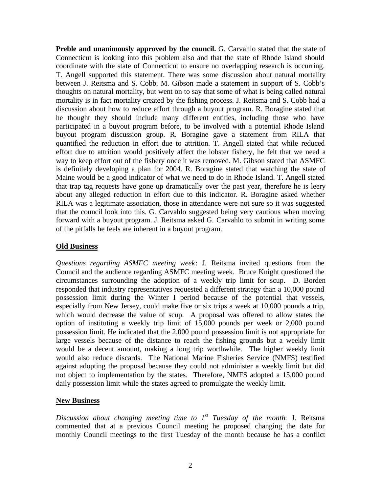**Preble and unanimously approved by the council.** G. Carvahlo stated that the state of Connecticut is looking into this problem also and that the state of Rhode Island should coordinate with the state of Connecticut to ensure no overlapping research is occurring. T. Angell supported this statement. There was some discussion about natural mortality between J. Reitsma and S. Cobb. M. Gibson made a statement in support of S. Cobb's thoughts on natural mortality, but went on to say that some of what is being called natural mortality is in fact mortality created by the fishing process. J. Reitsma and S. Cobb had a discussion about how to reduce effort through a buyout program. R. Boragine stated that he thought they should include many different entities, including those who have participated in a buyout program before, to be involved with a potential Rhode Island buyout program discussion group. R. Boragine gave a statement from RILA that quantified the reduction in effort due to attrition. T. Angell stated that while reduced effort due to attrition would positively affect the lobster fishery, he felt that we need a way to keep effort out of the fishery once it was removed. M. Gibson stated that ASMFC is definitely developing a plan for 2004. R. Boragine stated that watching the state of Maine would be a good indicator of what we need to do in Rhode Island. T. Angell stated that trap tag requests have gone up dramatically over the past year, therefore he is leery about any alleged reduction in effort due to this indicator. R. Boragine asked whether RILA was a legitimate association, those in attendance were not sure so it was suggested that the council look into this. G. Carvahlo suggested being very cautious when moving forward with a buyout program. J. Reitsma asked G. Carvahlo to submit in writing some of the pitfalls he feels are inherent in a buyout program.

### **Old Business**

*Questions regarding ASMFC meeting week*: J. Reitsma invited questions from the Council and the audience regarding ASMFC meeting week. Bruce Knight questioned the circumstances surrounding the adoption of a weekly trip limit for scup. D. Borden responded that industry representatives requested a different strategy than a 10,000 pound possession limit during the Winter I period because of the potential that vessels, especially from New Jersey, could make five or six trips a week at 10,000 pounds a trip, which would decrease the value of scup. A proposal was offered to allow states the option of instituting a weekly trip limit of 15,000 pounds per week or 2,000 pound possession limit. He indicated that the 2,000 pound possession limit is not appropriate for large vessels because of the distance to reach the fishing grounds but a weekly limit would be a decent amount, making a long trip worthwhile. The higher weekly limit would also reduce discards. The National Marine Fisheries Service (NMFS) testified against adopting the proposal because they could not administer a weekly limit but did not object to implementation by the states. Therefore, NMFS adopted a 15,000 pound daily possession limit while the states agreed to promulgate the weekly limit.

### **New Business**

*Discussion about changing meeting time to 1 st Tuesday of the month*: J. Reitsma commented that at a previous Council meeting he proposed changing the date for monthly Council meetings to the first Tuesday of the month because he has a conflict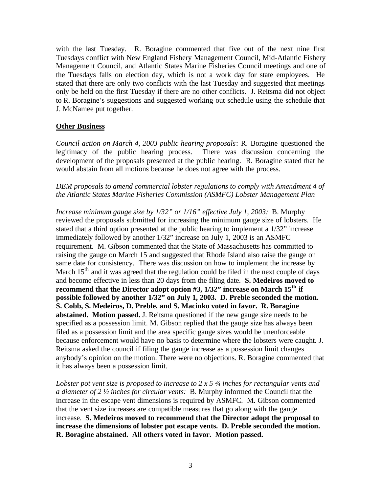with the last Tuesday. R. Boragine commented that five out of the next nine first Tuesdays conflict with New England Fishery Management Council, Mid-Atlantic Fishery Management Council, and Atlantic States Marine Fisheries Council meetings and one of the Tuesdays falls on election day, which is not a work day for state employees. He stated that there are only two conflicts with the last Tuesday and suggested that meetings only be held on the first Tuesday if there are no other conflicts. J. Reitsma did not object to R. Boragine's suggestions and suggested working out schedule using the schedule that J. McNamee put together.

# **Other Business**

*Council action on March 4, 2003 public hearing proposals*: R. Boragine questioned the legitimacy of the public hearing process. There was discussion concerning the development of the proposals presented at the public hearing. R. Boragine stated that he would abstain from all motions because he does not agree with the process.

## *DEM proposals to amend commercial lobster regulations to comply with Amendment 4 of the Atlantic States Marine Fisheries Commission (ASMFC) Lobster Management Plan*

*Increase minimum gauge size by 1/32" or 1/16" effective July 1, 2003:* B. Murphy reviewed the proposals submitted for increasing the minimum gauge size of lobsters. He stated that a third option presented at the public hearing to implement a 1/32" increase immediately followed by another 1/32" increase on July 1, 2003 is an ASMFC requirement. M. Gibson commented that the State of Massachusetts has committed to raising the gauge on March 15 and suggested that Rhode Island also raise the gauge on same date for consistency. There was discussion on how to implement the increase by March  $15<sup>th</sup>$  and it was agreed that the regulation could be filed in the next couple of days and become effective in less than 20 days from the filing date. **S. Medeiros moved to recommend that the Director adopt option #3, 1/32" increase on March 15th if possible followed by another 1/32" on July 1, 2003. D. Preble seconded the motion. S. Cobb, S. Medeiros, D. Preble, and S. Macinko voted in favor. R. Boragine abstained. Motion passed.** J. Reitsma questioned if the new gauge size needs to be specified as a possession limit. M. Gibson replied that the gauge size has always been filed as a possession limit and the area specific gauge sizes would be unenforceable because enforcement would have no basis to determine where the lobsters were caught. J. Reitsma asked the council if filing the gauge increase as a possession limit changes anybody's opinion on the motion. There were no objections. R. Boragine commented that it has always been a possession limit.

*Lobster pot vent size is proposed to increase to 2 x 5 ¾ inches for rectangular vents and a diameter of 2 ½ inches for circular vents:* B. Murphy informed the Council that the increase in the escape vent dimensions is required by ASMFC. M. Gibson commented that the vent size increases are compatible measures that go along with the gauge increase. **S. Medeiros moved to recommend that the Director adopt the proposal to increase the dimensions of lobster pot escape vents. D. Preble seconded the motion. R. Boragine abstained. All others voted in favor. Motion passed.**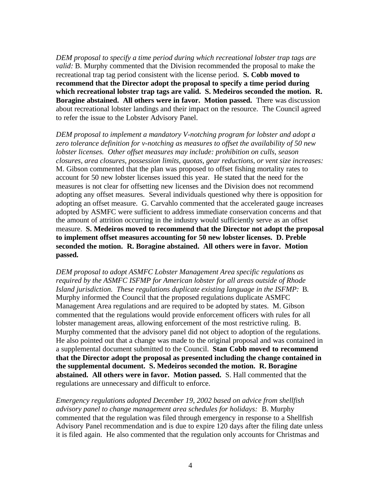*DEM proposal to specify a time period during which recreational lobster trap tags are valid:* B. Murphy commented that the Division recommended the proposal to make the recreational trap tag period consistent with the license period. **S. Cobb moved to recommend that the Director adopt the proposal to specify a time period during which recreational lobster trap tags are valid. S. Medeiros seconded the motion. R. Boragine abstained. All others were in favor. Motion passed.** There was discussion about recreational lobster landings and their impact on the resource. The Council agreed to refer the issue to the Lobster Advisory Panel.

*DEM proposal to implement a mandatory V-notching program for lobster and adopt a zero tolerance definition for v-notching as measures to offset the availability of 50 new lobster licenses. Other offset measures may include: prohibition on culls, season closures, area closures, possession limits, quotas, gear reductions, or vent size increases:* M. Gibson commented that the plan was proposed to offset fishing mortality rates to account for 50 new lobster licenses issued this year. He stated that the need for the measures is not clear for offsetting new licenses and the Division does not recommend adopting any offset measures. Several individuals questioned why there is opposition for adopting an offset measure. G. Carvahlo commented that the accelerated gauge increases adopted by ASMFC were sufficient to address immediate conservation concerns and that the amount of attrition occurring in the industry would sufficiently serve as an offset measure. **S. Medeiros moved to recommend that the Director not adopt the proposal to implement offset measures accounting for 50 new lobster licenses. D. Preble seconded the motion. R. Boragine abstained. All others were in favor. Motion passed.**

*DEM proposal to adopt ASMFC Lobster Management Area specific regulations as required by the ASMFC ISFMP for American lobster for all areas outside of Rhode Island jurisdiction. These regulations duplicate existing language in the ISFMP:* B. Murphy informed the Council that the proposed regulations duplicate ASMFC Management Area regulations and are required to be adopted by states. M. Gibson commented that the regulations would provide enforcement officers with rules for all lobster management areas, allowing enforcement of the most restrictive ruling. B. Murphy commented that the advisory panel did not object to adoption of the regulations. He also pointed out that a change was made to the original proposal and was contained in a supplemental document submitted to the Council. **Stan Cobb moved to recommend that the Director adopt the proposal as presented including the change contained in the supplemental document. S. Medeiros seconded the motion. R. Boragine abstained. All others were in favor. Motion passed.** S. Hall commented that the regulations are unnecessary and difficult to enforce.

*Emergency regulations adopted December 19, 2002 based on advice from shellfish advisory panel to change management area schedules for holidays:* B. Murphy commented that the regulation was filed through emergency in response to a Shellfish Advisory Panel recommendation and is due to expire 120 days after the filing date unless it is filed again. He also commented that the regulation only accounts for Christmas and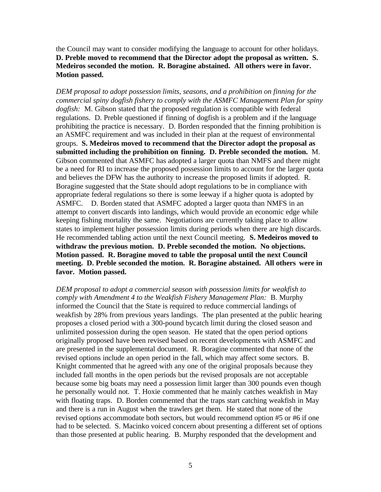the Council may want to consider modifying the language to account for other holidays. **D. Preble moved to recommend that the Director adopt the proposal as written. S. Medeiros seconded the motion. R. Boragine abstained. All others were in favor. Motion passed.**

*DEM proposal to adopt possession limits, seasons, and a prohibition on finning for the commercial spiny dogfish fishery to comply with the ASMFC Management Plan for spiny dogfish:* M. Gibson stated that the proposed regulation is compatible with federal regulations. D. Preble questioned if finning of dogfish is a problem and if the language prohibiting the practice is necessary. D. Borden responded that the finning prohibition is an ASMFC requirement and was included in their plan at the request of environmental groups. **S. Medeiros moved to recommend that the Director adopt the proposal as submitted including the prohibition on finning. D. Preble seconded the motion.** M. Gibson commented that ASMFC has adopted a larger quota than NMFS and there might be a need for RI to increase the proposed possession limits to account for the larger quota and believes the DFW has the authority to increase the proposed limits if adopted. R. Boragine suggested that the State should adopt regulations to be in compliance with appropriate federal regulations so there is some leeway if a higher quota is adopted by ASMFC. D. Borden stated that ASMFC adopted a larger quota than NMFS in an attempt to convert discards into landings, which would provide an economic edge while keeping fishing mortality the same. Negotiations are currently taking place to allow states to implement higher possession limits during periods when there are high discards. He recommended tabling action until the next Council meeting. **S. Medeiros moved to withdraw the previous motion. D. Preble seconded the motion. No objections. Motion passed. R. Boragine moved to table the proposal until the next Council meeting. D. Preble seconded the motion. R. Boragine abstained. All others were in favor. Motion passed.**

*DEM proposal to adopt a commercial season with possession limits for weakfish to comply with Amendment 4 to the Weakfish Fishery Management Plan:* B. Murphy informed the Council that the State is required to reduce commercial landings of weakfish by 28% from previous years landings. The plan presented at the public hearing proposes a closed period with a 300-pound bycatch limit during the closed season and unlimited possession during the open season. He stated that the open period options originally proposed have been revised based on recent developments with ASMFC and are presented in the supplemental document. R. Boragine commented that none of the revised options include an open period in the fall, which may affect some sectors. B. Knight commented that he agreed with any one of the original proposals because they included fall months in the open periods but the revised proposals are not acceptable because some big boats may need a possession limit larger than 300 pounds even though he personally would not. T. Hoxie commented that he mainly catches weakfish in May with floating traps. D. Borden commented that the traps start catching weakfish in May and there is a run in August when the trawlers get them. He stated that none of the revised options accommodate both sectors, but would recommend option #5 or #6 if one had to be selected. S. Macinko voiced concern about presenting a different set of options than those presented at public hearing. B. Murphy responded that the development and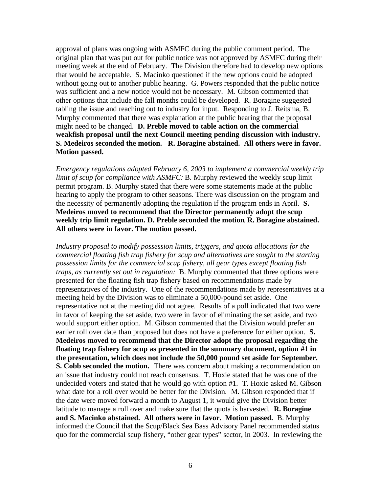approval of plans was ongoing with ASMFC during the public comment period. The original plan that was put out for public notice was not approved by ASMFC during their meeting week at the end of February. The Division therefore had to develop new options that would be acceptable. S. Macinko questioned if the new options could be adopted without going out to another public hearing. G. Powers responded that the public notice was sufficient and a new notice would not be necessary. M. Gibson commented that other options that include the fall months could be developed. R. Boragine suggested tabling the issue and reaching out to industry for input. Responding to J. Reitsma, B. Murphy commented that there was explanation at the public hearing that the proposal might need to be changed. **D. Preble moved to table action on the commercial weakfish proposal until the next Council meeting pending discussion with industry. S. Medeiros seconded the motion. R. Boragine abstained. All others were in favor. Motion passed.**

*Emergency regulations adopted February 6, 2003 to implement a commercial weekly trip limit of scup for compliance with ASMFC:* B. Murphy reviewed the weekly scup limit permit program. B. Murphy stated that there were some statements made at the public hearing to apply the program to other seasons. There was discussion on the program and the necessity of permanently adopting the regulation if the program ends in April. **S. Medeiros moved to recommend that the Director permanently adopt the scup weekly trip limit regulation. D. Preble seconded the motion**. **R. Boragine abstained. All others were in favor. The motion passed.**

*Industry proposal to modify possession limits, triggers, and quota allocations for the commercial floating fish trap fishery for scup and alternatives are sought to the starting possession limits for the commercial scup fishery, all gear types except floating fish traps, as currently set out in regulation:* B. Murphy commented that three options were presented for the floating fish trap fishery based on recommendations made by representatives of the industry. One of the recommendations made by representatives at a meeting held by the Division was to eliminate a 50,000-pound set aside. One representative not at the meeting did not agree. Results of a poll indicated that two were in favor of keeping the set aside, two were in favor of eliminating the set aside, and two would support either option. M. Gibson commented that the Division would prefer an earlier roll over date than proposed but does not have a preference for either option. **S. Medeiros moved to recommend that the Director adopt the proposal regarding the floating trap fishery for scup as presented in the summary document, option #1 in the presentation, which does not include the 50,000 pound set aside for September. S. Cobb seconded the motion.** There was concern about making a recommendation on an issue that industry could not reach consensus. T. Hoxie stated that he was one of the undecided voters and stated that he would go with option #1. T. Hoxie asked M. Gibson what date for a roll over would be better for the Division. M. Gibson responded that if the date were moved forward a month to August 1, it would give the Division better latitude to manage a roll over and make sure that the quota is harvested. **R. Boragine and S. Macinko abstained. All others were in favor. Motion passed.** B. Murphy informed the Council that the Scup/Black Sea Bass Advisory Panel recommended status quo for the commercial scup fishery, "other gear types" sector, in 2003. In reviewing the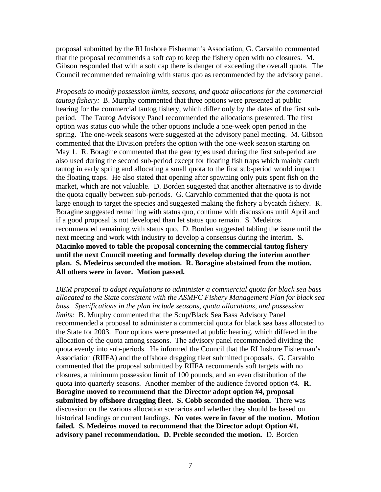proposal submitted by the RI Inshore Fisherman's Association, G. Carvahlo commented that the proposal recommends a soft cap to keep the fishery open with no closures. M. Gibson responded that with a soft cap there is danger of exceeding the overall quota. The Council recommended remaining with status quo as recommended by the advisory panel.

*Proposals to modify possession limits, seasons, and quota allocations for the commercial tautog fishery:* **B.** Murphy commented that three options were presented at public hearing for the commercial tautog fishery, which differ only by the dates of the first subperiod. The Tautog Advisory Panel recommended the allocations presented. The first option was status quo while the other options include a one-week open period in the spring. The one-week seasons were suggested at the advisory panel meeting. M. Gibson commented that the Division prefers the option with the one-week season starting on May 1. R. Boragine commented that the gear types used during the first sub-period are also used during the second sub-period except for floating fish traps which mainly catch tautog in early spring and allocating a small quota to the first sub-period would impact the floating traps. He also stated that opening after spawning only puts spent fish on the market, which are not valuable. D. Borden suggested that another alternative is to divide the quota equally between sub-periods. G. Carvahlo commented that the quota is not large enough to target the species and suggested making the fishery a bycatch fishery. R. Boragine suggested remaining with status quo, continue with discussions until April and if a good proposal is not developed than let status quo remain. S. Medeiros recommended remaining with status quo. D. Borden suggested tabling the issue until the next meeting and work with industry to develop a consensus during the interim. **S. Macinko moved to table the proposal concerning the commercial tautog fishery until the next Council meeting and formally develop during the interim another plan. S. Medeiros seconded the motion. R. Boragine abstained from the motion. All others were in favor. Motion passed.**

*DEM proposal to adopt regulations to administer a commercial quota for black sea bass allocated to the State consistent with the ASMFC Fishery Management Plan for black sea bass. Specifications in the plan include seasons, quota allocations, and possession limits:* B. Murphy commented that the Scup/Black Sea Bass Advisory Panel recommended a proposal to administer a commercial quota for black sea bass allocated to the State for 2003. Four options were presented at public hearing, which differed in the allocation of the quota among seasons. The advisory panel recommended dividing the quota evenly into sub-periods. He informed the Council that the RI Inshore Fisherman's Association (RIIFA) and the offshore dragging fleet submitted proposals. G. Carvahlo commented that the proposal submitted by RIIFA recommends soft targets with no closures, a minimum possession limit of 100 pounds, and an even distribution of the quota into quarterly seasons. Another member of the audience favored option #4. **R. Boragine moved to recommend that the Director adopt option #4, proposal submitted by offshore dragging fleet. S. Cobb seconded the motion.** There was discussion on the various allocation scenarios and whether they should be based on historical landings or current landings. **No votes were in favor of the motion. Motion failed. S. Medeiros moved to recommend that the Director adopt Option #1, advisory panel recommendation. D. Preble seconded the motion.** D. Borden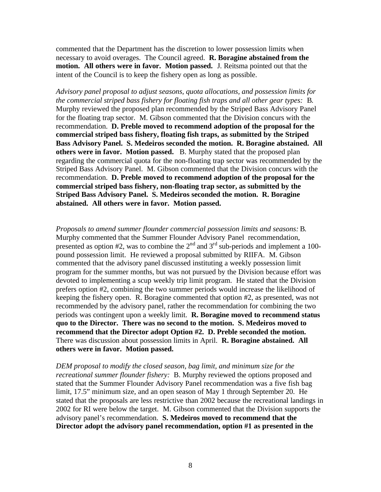commented that the Department has the discretion to lower possession limits when necessary to avoid overages. The Council agreed. **R. Boragine abstained from the motion. All others were in favor. Motion passed.** J. Reitsma pointed out that the intent of the Council is to keep the fishery open as long as possible.

*Advisory panel proposal to adjust seasons, quota allocations, and possession limits for the commercial striped bass fishery for floating fish traps and all other gear types:* B. Murphy reviewed the proposed plan recommended by the Striped Bass Advisory Panel for the floating trap sector. M. Gibson commented that the Division concurs with the recommendation. **D. Preble moved to recommend adoption of the proposal for the commercial striped bass fishery, floating fish traps, as submitted by the Striped Bass Advisory Panel. S. Medeiros seconded the motion. R. Boragine abstained. All others were in favor. Motion passed.** B. Murphy stated that the proposed plan regarding the commercial quota for the non-floating trap sector was recommended by the Striped Bass Advisory Panel. M. Gibson commented that the Division concurs with the recommendation. **D. Preble moved to recommend adoption of the proposal for the commercial striped bass fishery, non-floating trap sector, as submitted by the Striped Bass Advisory Panel. S. Medeiros seconded the motion. R. Boragine abstained. All others were in favor. Motion passed.**

*Proposals to amend summer flounder commercial possession limits and seasons:* B. Murphy commented that the Summer Flounder Advisory Panel recommendation, presented as option  $#2$ , was to combine the  $2<sup>nd</sup>$  and  $3<sup>rd</sup>$  sub-periods and implement a 100pound possession limit. He reviewed a proposal submitted by RIIFA. M. Gibson commented that the advisory panel discussed instituting a weekly possession limit program for the summer months, but was not pursued by the Division because effort was devoted to implementing a scup weekly trip limit program. He stated that the Division prefers option #2, combining the two summer periods would increase the likelihood of keeping the fishery open. R. Boragine commented that option #2, as presented, was not recommended by the advisory panel, rather the recommendation for combining the two periods was contingent upon a weekly limit. **R. Boragine moved to recommend status quo to the Director. There was no second to the motion. S. Medeiros moved to recommend that the Director adopt Option #2. D. Preble seconded the motion.** There was discussion about possession limits in April. **R. Boragine abstained. All others were in favor. Motion passed.**

*DEM proposal to modify the closed season, bag limit, and minimum size for the recreational summer flounder fishery:* B. Murphy reviewed the options proposed and stated that the Summer Flounder Advisory Panel recommendation was a five fish bag limit, 17.5" minimum size, and an open season of May 1 through September 20. He stated that the proposals are less restrictive than 2002 because the recreational landings in 2002 for RI were below the target. M. Gibson commented that the Division supports the advisory panel's recommendation. **S. Medeiros moved to recommend that the Director adopt the advisory panel recommendation, option #1 as presented in the**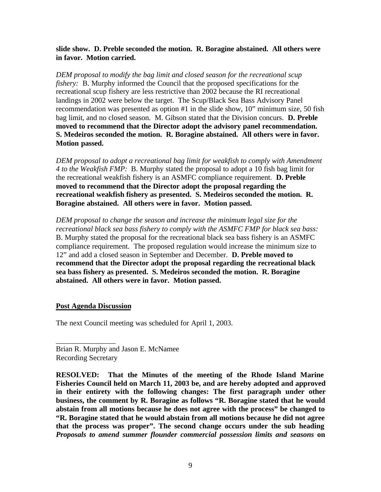**slide show. D. Preble seconded the motion. R. Boragine abstained. All others were in favor. Motion carried.**

*DEM proposal to modify the bag limit and closed season for the recreational scup fishery:* B. Murphy informed the Council that the proposed specifications for the recreational scup fishery are less restrictive than 2002 because the RI recreational landings in 2002 were below the target. The Scup/Black Sea Bass Advisory Panel recommendation was presented as option #1 in the slide show, 10" minimum size, 50 fish bag limit, and no closed season. M. Gibson stated that the Division concurs. **D. Preble moved to recommend that the Director adopt the advisory panel recommendation. S. Medeiros seconded the motion. R. Boragine abstained. All others were in favor. Motion passed.**

*DEM proposal to adopt a recreational bag limit for weakfish to comply with Amendment 4 to the Weakfish FMP:* B. Murphy stated the proposal to adopt a 10 fish bag limit for the recreational weakfish fishery is an ASMFC compliance requirement. **D. Preble moved to recommend that the Director adopt the proposal regarding the recreational weakfish fishery as presented. S. Medeiros seconded the motion. R. Boragine abstained. All others were in favor. Motion passed.**

*DEM proposal to change the season and increase the minimum legal size for the recreational black sea bass fishery to comply with the ASMFC FMP for black sea bass:* B. Murphy stated the proposal for the recreational black sea bass fishery is an ASMFC compliance requirement. The proposed regulation would increase the minimum size to 12" and add a closed season in September and December. **D. Preble moved to recommend that the Director adopt the proposal regarding the recreational black sea bass fishery as presented. S. Medeiros seconded the motion. R. Boragine abstained. All others were in favor. Motion passed.**

### **Post Agenda Discussion**

\_\_\_\_\_\_\_\_\_\_\_\_\_\_\_\_

The next Council meeting was scheduled for April 1, 2003.

Brian R. Murphy and Jason E. McNamee Recording Secretary

**RESOLVED: That the Minutes of the meeting of the Rhode Island Marine Fisheries Council held on March 11, 2003 be, and are hereby adopted and approved in their entirety with the following changes: The first paragraph under other business, the comment by R. Boragine as follows "R. Boragine stated that he would abstain from all motions because he does not agree with the process" be changed to "R. Boragine stated that he would abstain from all motions because he did not agree that the process was proper". The second change occurs under the sub heading** *Proposals to amend summer flounder commercial possession limits and seasons* **on**